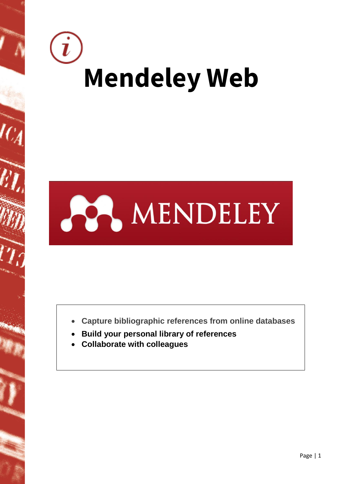



- **Capture bibliographic references from online databases**
- **Build your personal library of references**
- **Collaborate with colleagues**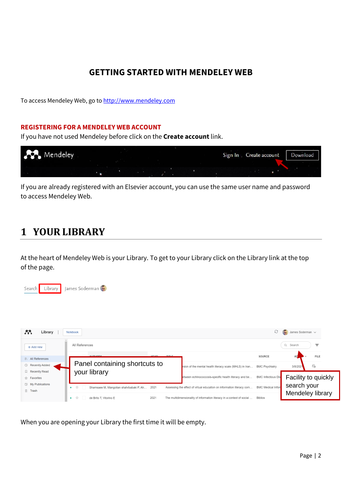### **GETTING STARTED WITH MENDELEY WEB**

To access Mendeley Web, go to [http://www.mendeley.com](http://www.mendeley.com/)

#### **REGISTERING FOR A MENDELEY WEB ACCOUNT**

If you have not used Mendeley before click on the **Create account** link.



If you are already registered with an Elsevier account, you can use the same user name and password to access Mendeley Web.

### **1 YOUR LIBRARY**

At the heart of Mendeley Web is your Library. To get to your Library click on the Library link at the top of the page.



| m<br>Library                                  | Notebook                                                                                                                        | S                                                                                          | James Soderman ~                      |
|-----------------------------------------------|---------------------------------------------------------------------------------------------------------------------------------|--------------------------------------------------------------------------------------------|---------------------------------------|
| $+$ Add new                                   | All References                                                                                                                  |                                                                                            | Q Search<br>₹                         |
| II\ All References<br><b>B</b> Recently Added | <b>AUTUODS</b><br><b>VEAD</b><br>TITLE.<br>Panel containing shortcuts to                                                        | SOURCE<br>sion of the mental health literacy scale (MHLS) in Iran<br><b>BMC Psychiatry</b> | <b>FILE</b><br>$E_{\odot}$<br>3/8/202 |
| Recently Read<br>☆ Favorites                  | your library                                                                                                                    | <b>BMC Infectious Dis</b><br>etween echinococcosis-specific health literacy and be         | Facility to quickly                   |
| My Publications<br><b>而</b> Trash             | ● ☆<br>Shamsaee M, Mangolian shahrbabaki P, Ah<br>2021<br>Assessing the effect of virtual education on information literacy com | <b>BMC Medical Inform</b>                                                                  | search your                           |
|                                               | 2021<br>The multidimensionality of information literacy in a context of social<br>de Brito T. Vitorino E<br>X<br>$\bullet$      | <b>Biblios</b>                                                                             | Mendeley library                      |

When you are opening your Library the first time it will be empty.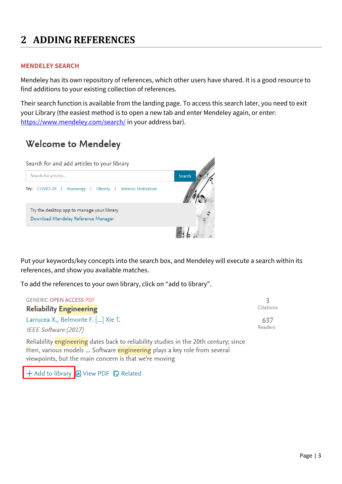## **2 ADDING REFERENCES**

#### **MENDELEY SEARCH**

Mendeley has its own repository of references, which other users have shared. It is a good resource to find additions to your existing collection of references.

Their search function is available from the landing page. To access this search later, you need to exit your Library (the easiest method is to open a new tab and enter Mendeley again, or enter: <https://www.mendeley.com/search/> in your address bar).

### **Welcome to Mendeley**



Put your keywords/key concepts into the search box, and Mendeley will execute a search within its references, and show you available matches.

To add the references to your own library, click on "add to library".

| <b>GENERIC OPEN ACCESS PDF</b>                       |                  |
|------------------------------------------------------|------------------|
| <b>Reliability Engineering</b>                       | <b>Citations</b> |
| Larrucea X., Belmonte F. [] Xie T.                   | 637              |
| <b>Readers</b><br><i><b>IEEE Software (2017)</b></i> |                  |
|                                                      |                  |

Reliability engineering dates back to reliability studies in the 20th century; since then, various models ... Software engineering plays a key role from several viewpoints, but the main concern is that we're moving

+ Add to library **A** View PDF **D** Related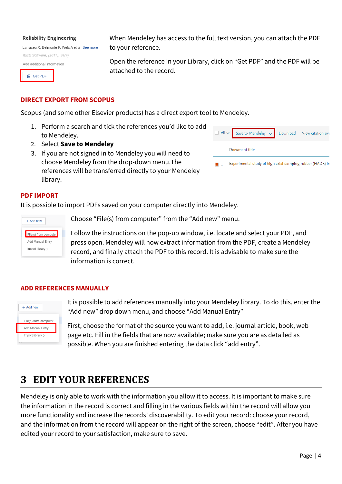#### **Reliability Engineering**

Larrucea X. Belmonte F. Welc A et al. See more IEEE Software, (2017), 34(4)

Add additional information

**A** Get PDF

#### **DIRECT EXPORT FROM SCOPUS**

Scopus (and some other Elsevier products) has a direct export tool to Mendeley.

to your reference.

attached to the record.

- 1. Perform a search and tick the references you'd like to add to Mendeley.
- 2. Select **Save to Mendeley**
- 3. If you are not signed in to Mendeley you will need to choose Mendeley from the drop-down menu.The references will be transferred directly to your Mendeley library.

| $\Box$ All $\lor$ Save to Mendeley $\lor$ Download View citation over |  |
|-----------------------------------------------------------------------|--|
| Document title                                                        |  |
| <b>Experimental study of high axial damping rubber (HADR) in</b>      |  |

#### **PDF IMPORT**

It is possible to import PDFs saved on your computer directly into Mendeley.

| $+$ Add new             |
|-------------------------|
| File(s) from computer   |
| <b>Add Manual Entry</b> |
| Import library >        |
|                         |

Choose "File(s) from computer" from the "Add new" menu.

Follow the instructions on the pop-up window, i.e. locate and select your PDF, and press open. Mendeley will now extract information from the PDF, create a Mendeley record, and finally attach the PDF to this record. It is advisable to make sure the information is correct.

When Mendeley has access to the full text version, you can attach the PDF

Open the reference in your Library, click on "Get PDF" and the PDF will be

#### **ADD REFERENCES MANUALLY**



It is possible to add references manually into your Mendeley library. To do this, enter the "Add new" drop down menu, and choose "Add Manual Entry"

First, choose the format of the source you want to add, i.e. journal article, book, web page etc. Fill in the fields that are now available; make sure you are as detailed as possible. When you are finished entering the data click "add entry".

### **3 EDIT YOUR REFERENCES**

Mendeley is only able to work with the information you allow it to access. It is important to make sure the information in the record is correct and filling in the various fields within the record will allow you more functionality and increase the records' discoverability. To edit your record: choose your record, and the information from the record will appear on the right of the screen, choose "edit". After you have edited your record to your satisfaction, make sure to save.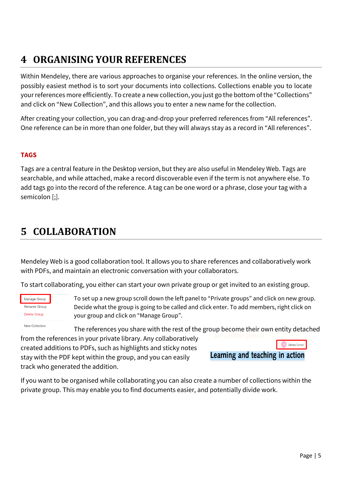# **4 ORGANISING YOUR REFERENCES**

Within Mendeley, there are various approaches to organise your references. In the online version, the possibly easiest method is to sort your documents into collections. Collections enable you to locate your references more efficiently. To create a new collection, you just go the bottom of the "Collections" and click on "New Collection", and this allows you to enter a new name for the collection.

After creating your collection, you can drag-and-drop your preferred references from "All references". One reference can be in more than one folder, but they will always stay as a record in "All references".

### **TAGS**

Tags are a central feature in the Desktop version, but they are also useful in Mendeley Web. Tags are searchable, and while attached, make a record discoverable even if the term is not anywhere else. To add tags go into the record of the reference. A tag can be one word or a phrase, close your tag with a semicolon [;].

### **5 COLLABORATION**

Mendeley Web is a good collaboration tool. It allows you to share references and collaboratively work with PDFs, and maintain an electronic conversation with your collaborators.

To start collaborating, you either can start your own private group or get invited to an existing group.



To set up a new group scroll down the left panel to "Private groups" and click on new group. Decide what the group is going to be called and click enter. To add members, right click on your group and click on "Manage Group".

New Collection

The references you share with the rest of the group become their own entity detached

from the references in your private library. Any collaboratively created additions to PDFs, such as highlights and sticky notes stay with the PDF kept within the group, and you can easily track who generated the addition.



If you want to be organised while collaborating you can also create a number of collections within the private group. This may enable you to find documents easier, and potentially divide work.